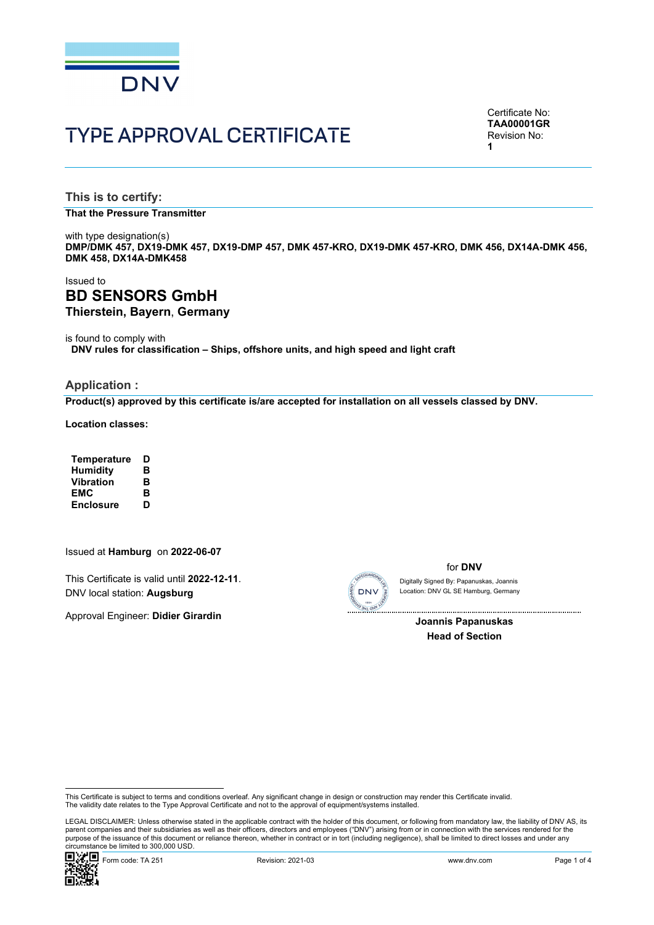

# TYPE APPROVAL CERTIFICATE

Certificate No: **TAA00001GR** Revision No: **1** 

**This is to certify:** 

**That the Pressure Transmitter**

with type designation(s) **DMP/DMK 457, DX19-DMK 457, DX19-DMP 457, DMK 457-KRO, DX19-DMK 457-KRO, DMK 456, DX14A-DMK 456, DMK 458, DX14A-DMK458**

### Issued to **BD SENSORS GmbH Thierstein, Bayern**, **Germany**

is found to comply with

**DNV rules for classification – Ships, offshore units, and high speed and light craft**

#### **Application :**

**Product(s) approved by this certificate is/are accepted for installation on all vessels classed by DNV.**

**Location classes:** 

| Temperature      | D |
|------------------|---|
| <b>Humidity</b>  | в |
| <b>Vibration</b> | в |
| EMC              | в |
| <b>Enclosure</b> | D |

#### Issued at **Hamburg** on **2022-06-07**

This Certificate is valid until **2022-12-11**. DNV local station: **Augsburg**

Approval Engineer: **Didier Girardin**



for **DNV** Location: DNV GL SE Hamburg, Germany Digitally Signed By: Papanuskas, Joannis

> **Joannis Papanuskas Head of Section**

 LEGAL DISCLAIMER: Unless otherwise stated in the applicable contract with the holder of this document, or following from mandatory law, the liability of DNV AS, its parent companies and their subsidiaries as well as their officers, directors and employees ("DNV") arising from or in connection with the services rendered for the purpose of the issuance of this document or reliance thereon, whether in contract or in tort (including negligence), shall be limited to direct losses and under any circumstance be limited to 300,000 USD.



This Certificate is subject to terms and conditions overleaf. Any significant change in design or construction may render this Certificate invalid.<br>The validity date relates to the Type Approval Certificate and not to the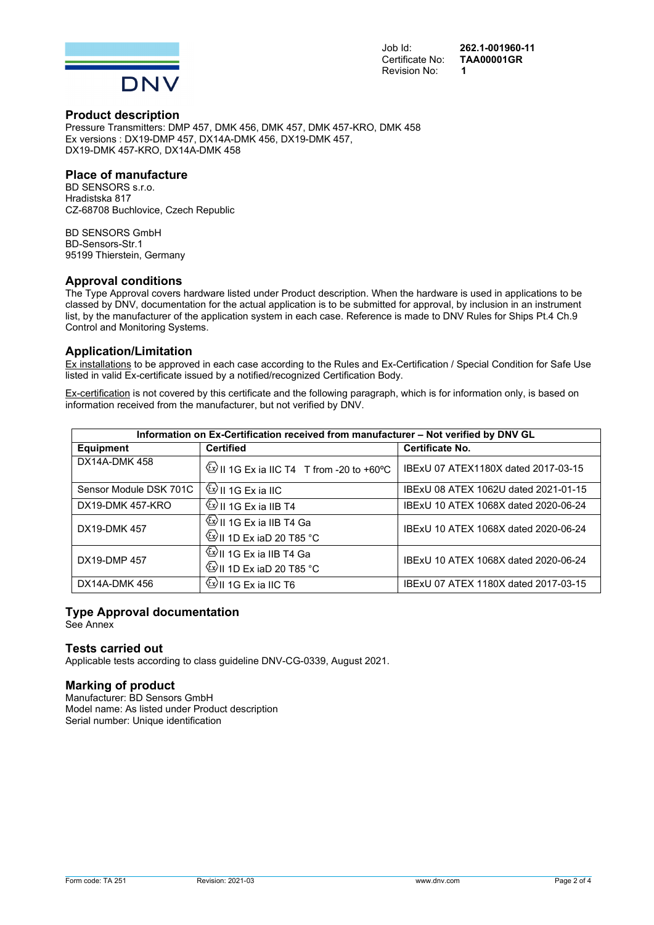

Revision No: **1** 

Job Id: **262.1-001960-11**  Certificate No: **TAA00001GR**

#### **Product description**

Pressure Transmitters: DMP 457, DMK 456, DMK 457, DMK 457-KRO, DMK 458 Ex versions : DX19-DMP 457, DX14A-DMK 456, DX19-DMK 457, DX19-DMK 457-KRO, DX14A-DMK 458

#### **Place of manufacture**

BD SENSORS s.r.o. Hradistska 817 CZ-68708 Buchlovice, Czech Republic

BD SENSORS GmbH BD-Sensors-Str.1 95199 Thierstein, Germany

#### **Approval conditions**

The Type Approval covers hardware listed under Product description. When the hardware is used in applications to be classed by DNV, documentation for the actual application is to be submitted for approval, by inclusion in an instrument list, by the manufacturer of the application system in each case. Reference is made to DNV Rules for Ships Pt.4 Ch.9 Control and Monitoring Systems.

#### **Application/Limitation**

Ex installations to be approved in each case according to the Rules and Ex-Certification / Special Condition for Safe Use listed in valid Ex-certificate issued by a notified/recognized Certification Body.

Ex-certification is not covered by this certificate and the following paragraph, which is for information only, is based on information received from the manufacturer, but not verified by DNV.

| Information on Ex-Certification received from manufacturer - Not verified by DNV GL |                                                                                       |                                      |
|-------------------------------------------------------------------------------------|---------------------------------------------------------------------------------------|--------------------------------------|
| <b>Equipment</b>                                                                    | <b>Certified</b>                                                                      | <b>Certificate No.</b>               |
| DX14A-DMK 458                                                                       | $\frac{\langle x \rangle}{\langle x \rangle}$ II 1G Ex ia IIC T4 T from -20 to +60 °C | IBExU 07 ATEX1180X dated 2017-03-15  |
| Sensor Module DSK 701C                                                              | $\frac{\langle x \rangle}{\langle y \rangle}$ II 1G Ex ia IIC                         | IBExU 08 ATEX 1062U dated 2021-01-15 |
| DX19-DMK 457-KRO                                                                    | $\frac{\langle x \rangle}{\langle y \rangle}$ II 1G Ex ia IIB T4                      | IBExU 10 ATEX 1068X dated 2020-06-24 |
| DX19-DMK 457                                                                        | <sup>(Ev</sup> II 1G Ex ia IIB T4 Ga<br>$\mathbb{Q}$ II 1D Ex iaD 20 T85 °C           | IBExU 10 ATEX 1068X dated 2020-06-24 |
| DX19-DMP 457                                                                        | <sup>(∑y</sup> II 1G Ex ia IIB T4 Ga<br><sup>(2)</sup> II 1D Ex iaD 20 T85 °C         | IBExU 10 ATEX 1068X dated 2020-06-24 |
| DX14A-DMK 456                                                                       | <sup>(Ey</sup> II 1G Ex ia IIC T6                                                     | IBExU 07 ATEX 1180X dated 2017-03-15 |

#### **Type Approval documentation**

See Annex

#### **Tests carried out**

Applicable tests according to class guideline DNV-CG-0339, August 2021.

#### **Marking of product**

Manufacturer: BD Sensors GmbH Model name: As listed under Product description Serial number: Unique identification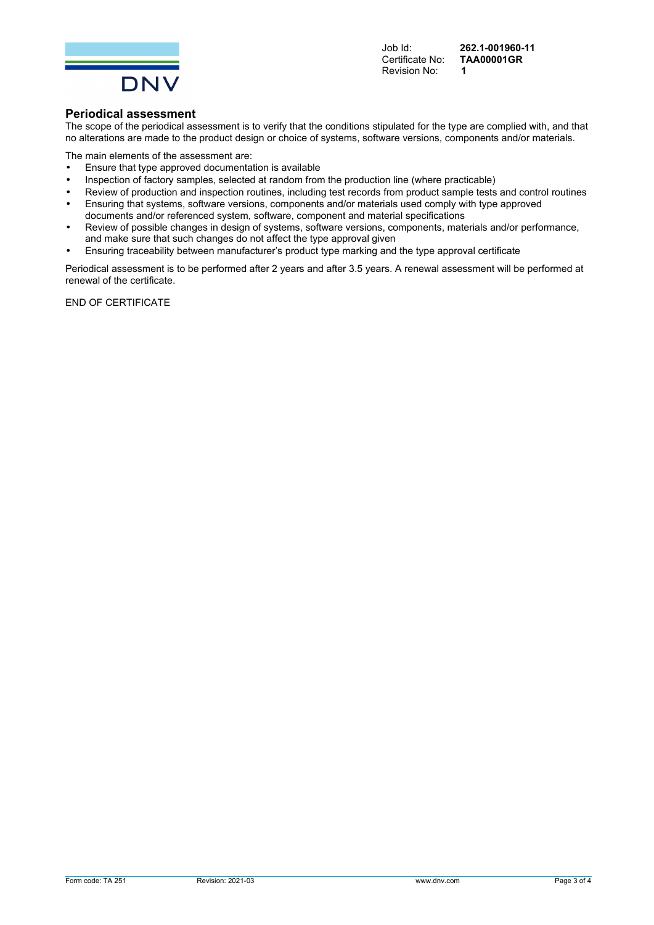

Revision No: **1** 

Job Id: **262.1-001960-11**  Certificate No: **TAA00001GR**

#### **Periodical assessment**

The scope of the periodical assessment is to verify that the conditions stipulated for the type are complied with, and that no alterations are made to the product design or choice of systems, software versions, components and/or materials.

The main elements of the assessment are:

- Ensure that type approved documentation is available
- Inspection of factory samples, selected at random from the production line (where practicable)
- Review of production and inspection routines, including test records from product sample tests and control routines
- Ensuring that systems, software versions, components and/or materials used comply with type approved documents and/or referenced system, software, component and material specifications
- Review of possible changes in design of systems, software versions, components, materials and/or performance, and make sure that such changes do not affect the type approval given
- Ensuring traceability between manufacturer's product type marking and the type approval certificate

Periodical assessment is to be performed after 2 years and after 3.5 years. A renewal assessment will be performed at renewal of the certificate.

END OF CERTIFICATE